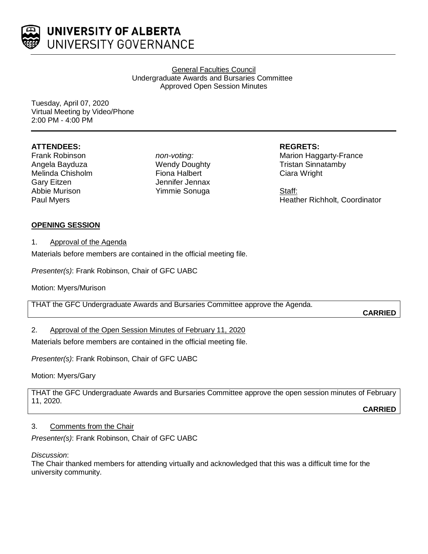

UNIVERSITY OF ALBERTA UNIVERSITY GOVERNANCE

> General Faculties Council Undergraduate Awards and Bursaries Committee Approved Open Session Minutes

Tuesday, April 07, 2020 Virtual Meeting by Video/Phone 2:00 PM - 4:00 PM

### **ATTENDEES:**

Frank Robinson Angela Bayduza Melinda Chisholm Gary Eitzen Abbie Murison Paul Myers

*non-voting:* Wendy Doughty Fiona Halbert Jennifer Jennax Yimmie Sonuga

**REGRETS:**

Marion Haggarty-France Tristan Sinnatamby Ciara Wright

Staff: Heather Richholt, Coordinator

### **OPENING SESSION**

#### 1. Approval of the Agenda

Materials before members are contained in the official meeting file.

*Presenter(s)*: Frank Robinson, Chair of GFC UABC

Motion: Myers/Murison

THAT the GFC Undergraduate Awards and Bursaries Committee approve the Agenda.

**CARRIED**

# 2. Approval of the Open Session Minutes of February 11, 2020

Materials before members are contained in the official meeting file.

*Presenter(s)*: Frank Robinson, Chair of GFC UABC

Motion: Myers/Gary

THAT the GFC Undergraduate Awards and Bursaries Committee approve the open session minutes of February 11, 2020. **CARRIED**

# 3. Comments from the Chair

*Presenter(s)*: Frank Robinson, Chair of GFC UABC

*Discussion*:

The Chair thanked members for attending virtually and acknowledged that this was a difficult time for the university community.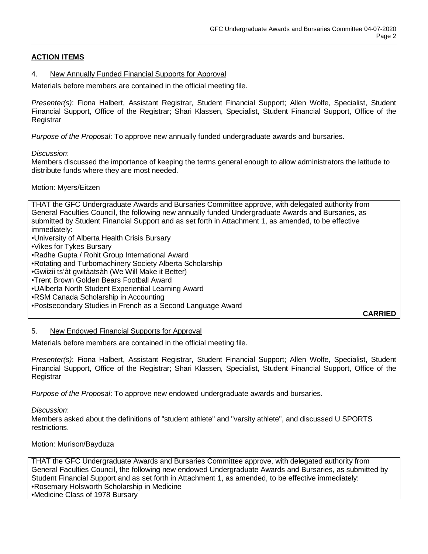# **ACTION ITEMS**

#### 4. New Annually Funded Financial Supports for Approval

Materials before members are contained in the official meeting file.

*Presenter(s)*: Fiona Halbert, Assistant Registrar, Student Financial Support; Allen Wolfe, Specialist, Student Financial Support, Office of the Registrar; Shari Klassen, Specialist, Student Financial Support, Office of the **Registrar** 

*Purpose of the Proposal*: To approve new annually funded undergraduate awards and bursaries.

*Discussion*:

Members discussed the importance of keeping the terms general enough to allow administrators the latitude to distribute funds where they are most needed.

#### Motion: Myers/Eitzen

THAT the GFC Undergraduate Awards and Bursaries Committee approve, with delegated authority from General Faculties Council, the following new annually funded Undergraduate Awards and Bursaries, as submitted by Student Financial Support and as set forth in Attachment 1, as amended, to be effective immediately:

•University of Alberta Health Crisis Bursary

- •Vikes for Tykes Bursary
- •Radhe Gupta / Rohit Group International Award
- •Rotating and Turbomachinery Society Alberta Scholarship
- •Gwiizii ts'àt gwitàatsàh (We Will Make it Better)
- •Trent Brown Golden Bears Football Award
- •UAlberta North Student Experiential Learning Award
- •RSM Canada Scholarship in Accounting
- •Postsecondary Studies in French as a Second Language Award

**CARRIED**

#### 5. New Endowed Financial Supports for Approval

Materials before members are contained in the official meeting file.

*Presenter(s)*: Fiona Halbert, Assistant Registrar, Student Financial Support; Allen Wolfe, Specialist, Student Financial Support, Office of the Registrar; Shari Klassen, Specialist, Student Financial Support, Office of the **Registrar** 

*Purpose of the Proposal*: To approve new endowed undergraduate awards and bursaries.

*Discussion*:

Members asked about the definitions of "student athlete" and "varsity athlete", and discussed U SPORTS restrictions.

#### Motion: Murison/Bayduza

THAT the GFC Undergraduate Awards and Bursaries Committee approve, with delegated authority from General Faculties Council, the following new endowed Undergraduate Awards and Bursaries, as submitted by Student Financial Support and as set forth in Attachment 1, as amended, to be effective immediately: •Rosemary Holsworth Scholarship in Medicine

•Medicine Class of 1978 Bursary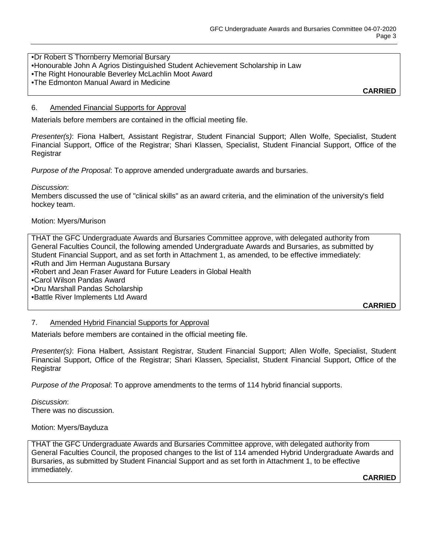# •Dr Robert S Thornberry Memorial Bursary

- •Honourable John A Agrios Distinguished Student Achievement Scholarship in Law
- •The Right Honourable Beverley McLachlin Moot Award
- •The Edmonton Manual Award in Medicine

**CARRIED**

#### 6. Amended Financial Supports for Approval

Materials before members are contained in the official meeting file.

*Presenter(s)*: Fiona Halbert, Assistant Registrar, Student Financial Support; Allen Wolfe, Specialist, Student Financial Support, Office of the Registrar; Shari Klassen, Specialist, Student Financial Support, Office of the **Registrar** 

*Purpose of the Proposal*: To approve amended undergraduate awards and bursaries.

#### *Discussion*:

Members discussed the use of "clinical skills" as an award criteria, and the elimination of the university's field hockey team.

#### Motion: Myers/Murison

THAT the GFC Undergraduate Awards and Bursaries Committee approve, with delegated authority from General Faculties Council, the following amended Undergraduate Awards and Bursaries, as submitted by Student Financial Support, and as set forth in Attachment 1, as amended, to be effective immediately: •Ruth and Jim Herman Augustana Bursary •Robert and Jean Fraser Award for Future Leaders in Global Health •Carol Wilson Pandas Award •Dru Marshall Pandas Scholarship •Battle River Implements Ltd Award

**CARRIED**

#### 7. Amended Hybrid Financial Supports for Approval

Materials before members are contained in the official meeting file.

*Presenter(s)*: Fiona Halbert, Assistant Registrar, Student Financial Support; Allen Wolfe, Specialist, Student Financial Support, Office of the Registrar; Shari Klassen, Specialist, Student Financial Support, Office of the Registrar

*Purpose of the Proposal*: To approve amendments to the terms of 114 hybrid financial supports.

*Discussion*: There was no discussion.

#### Motion: Myers/Bayduza

THAT the GFC Undergraduate Awards and Bursaries Committee approve, with delegated authority from General Faculties Council, the proposed changes to the list of 114 amended Hybrid Undergraduate Awards and Bursaries, as submitted by Student Financial Support and as set forth in Attachment 1, to be effective immediately.

**CARRIED**